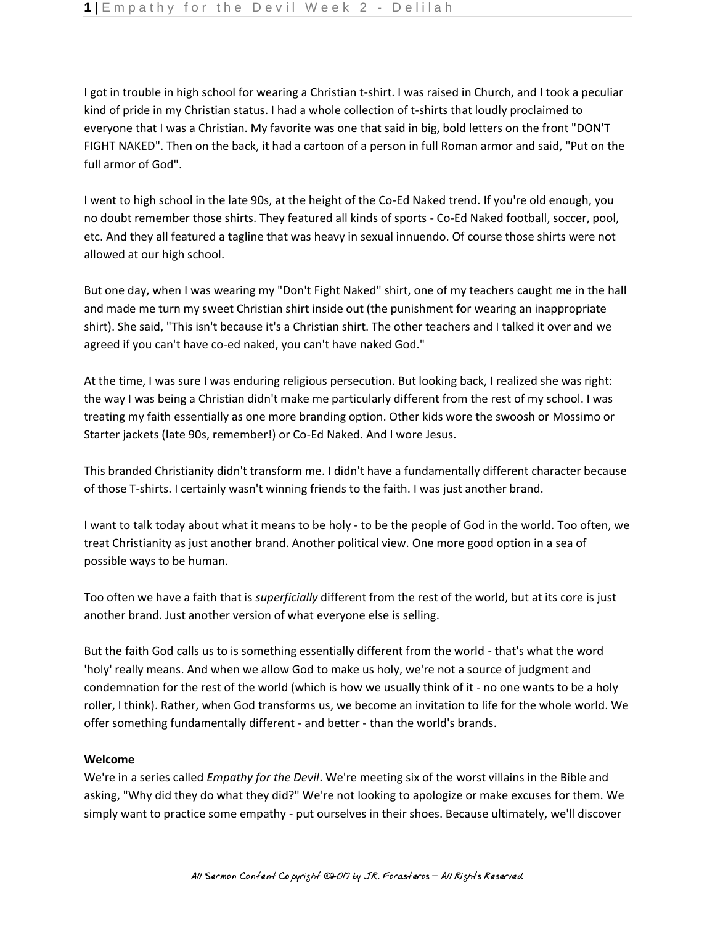I got in trouble in high school for wearing a Christian t-shirt. I was raised in Church, and I took a peculiar kind of pride in my Christian status. I had a whole collection of t-shirts that loudly proclaimed to everyone that I was a Christian. My favorite was one that said in big, bold letters on the front "DON'T FIGHT NAKED". Then on the back, it had a cartoon of a person in full Roman armor and said, "Put on the full armor of God".

I went to high school in the late 90s, at the height of the Co-Ed Naked trend. If you're old enough, you no doubt remember those shirts. They featured all kinds of sports - Co-Ed Naked football, soccer, pool, etc. And they all featured a tagline that was heavy in sexual innuendo. Of course those shirts were not allowed at our high school.

But one day, when I was wearing my "Don't Fight Naked" shirt, one of my teachers caught me in the hall and made me turn my sweet Christian shirt inside out (the punishment for wearing an inappropriate shirt). She said, "This isn't because it's a Christian shirt. The other teachers and I talked it over and we agreed if you can't have co-ed naked, you can't have naked God."

At the time, I was sure I was enduring religious persecution. But looking back, I realized she was right: the way I was being a Christian didn't make me particularly different from the rest of my school. I was treating my faith essentially as one more branding option. Other kids wore the swoosh or Mossimo or Starter jackets (late 90s, remember!) or Co-Ed Naked. And I wore Jesus.

This branded Christianity didn't transform me. I didn't have a fundamentally different character because of those T-shirts. I certainly wasn't winning friends to the faith. I was just another brand.

I want to talk today about what it means to be holy - to be the people of God in the world. Too often, we treat Christianity as just another brand. Another political view. One more good option in a sea of possible ways to be human.

Too often we have a faith that is *superficially* different from the rest of the world, but at its core is just another brand. Just another version of what everyone else is selling.

But the faith God calls us to is something essentially different from the world - that's what the word 'holy' really means. And when we allow God to make us holy, we're not a source of judgment and condemnation for the rest of the world (which is how we usually think of it - no one wants to be a holy roller, I think). Rather, when God transforms us, we become an invitation to life for the whole world. We offer something fundamentally different - and better - than the world's brands.

## **Welcome**

We're in a series called *Empathy for the Devil*. We're meeting six of the worst villains in the Bible and asking, "Why did they do what they did?" We're not looking to apologize or make excuses for them. We simply want to practice some empathy - put ourselves in their shoes. Because ultimately, we'll discover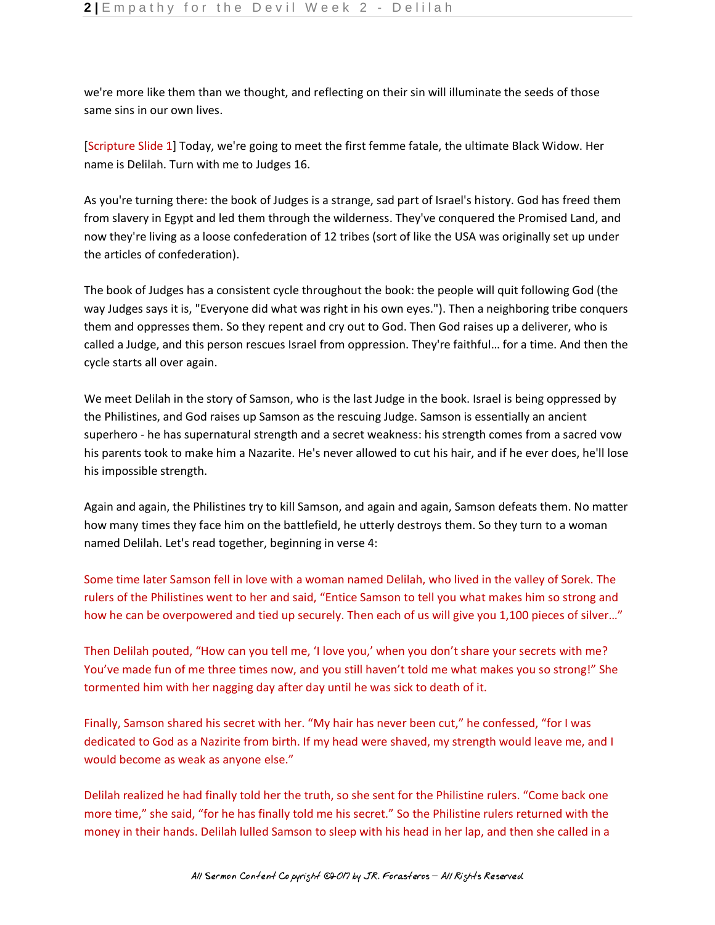we're more like them than we thought, and reflecting on their sin will illuminate the seeds of those same sins in our own lives.

[Scripture Slide 1] Today, we're going to meet the first femme fatale, the ultimate Black Widow. Her name is Delilah. Turn with me to Judges 16.

As you're turning there: the book of Judges is a strange, sad part of Israel's history. God has freed them from slavery in Egypt and led them through the wilderness. They've conquered the Promised Land, and now they're living as a loose confederation of 12 tribes (sort of like the USA was originally set up under the articles of confederation).

The book of Judges has a consistent cycle throughout the book: the people will quit following God (the way Judges says it is, "Everyone did what was right in his own eyes."). Then a neighboring tribe conquers them and oppresses them. So they repent and cry out to God. Then God raises up a deliverer, who is called a Judge, and this person rescues Israel from oppression. They're faithful… for a time. And then the cycle starts all over again.

We meet Delilah in the story of Samson, who is the last Judge in the book. Israel is being oppressed by the Philistines, and God raises up Samson as the rescuing Judge. Samson is essentially an ancient superhero - he has supernatural strength and a secret weakness: his strength comes from a sacred vow his parents took to make him a Nazarite. He's never allowed to cut his hair, and if he ever does, he'll lose his impossible strength.

Again and again, the Philistines try to kill Samson, and again and again, Samson defeats them. No matter how many times they face him on the battlefield, he utterly destroys them. So they turn to a woman named Delilah. Let's read together, beginning in verse 4:

Some time later Samson fell in love with a woman named Delilah, who lived in the valley of Sorek. The rulers of the Philistines went to her and said, "Entice Samson to tell you what makes him so strong and how he can be overpowered and tied up securely. Then each of us will give you 1,100 pieces of silver..."

Then Delilah pouted, "How can you tell me, 'I love you,' when you don't share your secrets with me? You've made fun of me three times now, and you still haven't told me what makes you so strong!" She tormented him with her nagging day after day until he was sick to death of it.

Finally, Samson shared his secret with her. "My hair has never been cut," he confessed, "for I was dedicated to God as a Nazirite from birth. If my head were shaved, my strength would leave me, and I would become as weak as anyone else."

Delilah realized he had finally told her the truth, so she sent for the Philistine rulers. "Come back one more time," she said, "for he has finally told me his secret." So the Philistine rulers returned with the money in their hands. Delilah lulled Samson to sleep with his head in her lap, and then she called in a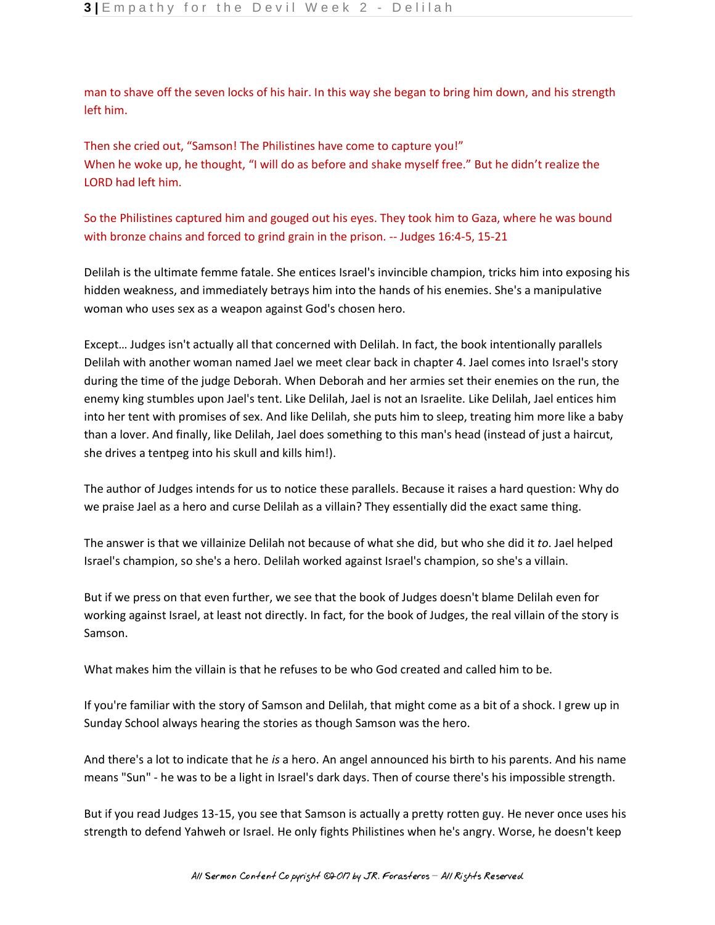man to shave off the seven locks of his hair. In this way she began to bring him down, and his strength left him.

Then she cried out, "Samson! The Philistines have come to capture you!" When he woke up, he thought, "I will do as before and shake myself free." But he didn't realize the LORD had left him.

So the Philistines captured him and gouged out his eyes. They took him to Gaza, where he was bound with bronze chains and forced to grind grain in the prison. -- Judges 16:4-5, 15-21

Delilah is the ultimate femme fatale. She entices Israel's invincible champion, tricks him into exposing his hidden weakness, and immediately betrays him into the hands of his enemies. She's a manipulative woman who uses sex as a weapon against God's chosen hero.

Except… Judges isn't actually all that concerned with Delilah. In fact, the book intentionally parallels Delilah with another woman named Jael we meet clear back in chapter 4. Jael comes into Israel's story during the time of the judge Deborah. When Deborah and her armies set their enemies on the run, the enemy king stumbles upon Jael's tent. Like Delilah, Jael is not an Israelite. Like Delilah, Jael entices him into her tent with promises of sex. And like Delilah, she puts him to sleep, treating him more like a baby than a lover. And finally, like Delilah, Jael does something to this man's head (instead of just a haircut, she drives a tentpeg into his skull and kills him!).

The author of Judges intends for us to notice these parallels. Because it raises a hard question: Why do we praise Jael as a hero and curse Delilah as a villain? They essentially did the exact same thing.

The answer is that we villainize Delilah not because of what she did, but who she did it *to*. Jael helped Israel's champion, so she's a hero. Delilah worked against Israel's champion, so she's a villain.

But if we press on that even further, we see that the book of Judges doesn't blame Delilah even for working against Israel, at least not directly. In fact, for the book of Judges, the real villain of the story is Samson.

What makes him the villain is that he refuses to be who God created and called him to be.

If you're familiar with the story of Samson and Delilah, that might come as a bit of a shock. I grew up in Sunday School always hearing the stories as though Samson was the hero.

And there's a lot to indicate that he *is* a hero. An angel announced his birth to his parents. And his name means "Sun" - he was to be a light in Israel's dark days. Then of course there's his impossible strength.

But if you read Judges 13-15, you see that Samson is actually a pretty rotten guy. He never once uses his strength to defend Yahweh or Israel. He only fights Philistines when he's angry. Worse, he doesn't keep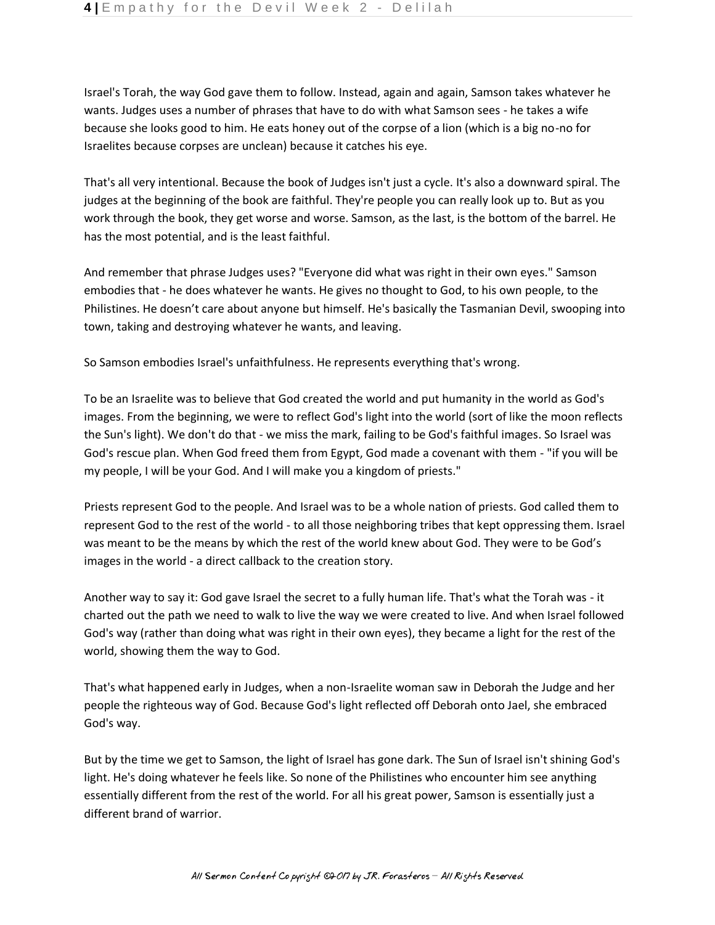Israel's Torah, the way God gave them to follow. Instead, again and again, Samson takes whatever he wants. Judges uses a number of phrases that have to do with what Samson sees - he takes a wife because she looks good to him. He eats honey out of the corpse of a lion (which is a big no-no for Israelites because corpses are unclean) because it catches his eye.

That's all very intentional. Because the book of Judges isn't just a cycle. It's also a downward spiral. The judges at the beginning of the book are faithful. They're people you can really look up to. But as you work through the book, they get worse and worse. Samson, as the last, is the bottom of the barrel. He has the most potential, and is the least faithful.

And remember that phrase Judges uses? "Everyone did what was right in their own eyes." Samson embodies that - he does whatever he wants. He gives no thought to God, to his own people, to the Philistines. He doesn't care about anyone but himself. He's basically the Tasmanian Devil, swooping into town, taking and destroying whatever he wants, and leaving.

So Samson embodies Israel's unfaithfulness. He represents everything that's wrong.

To be an Israelite was to believe that God created the world and put humanity in the world as God's images. From the beginning, we were to reflect God's light into the world (sort of like the moon reflects the Sun's light). We don't do that - we miss the mark, failing to be God's faithful images. So Israel was God's rescue plan. When God freed them from Egypt, God made a covenant with them - "if you will be my people, I will be your God. And I will make you a kingdom of priests."

Priests represent God to the people. And Israel was to be a whole nation of priests. God called them to represent God to the rest of the world - to all those neighboring tribes that kept oppressing them. Israel was meant to be the means by which the rest of the world knew about God. They were to be God's images in the world - a direct callback to the creation story.

Another way to say it: God gave Israel the secret to a fully human life. That's what the Torah was - it charted out the path we need to walk to live the way we were created to live. And when Israel followed God's way (rather than doing what was right in their own eyes), they became a light for the rest of the world, showing them the way to God.

That's what happened early in Judges, when a non-Israelite woman saw in Deborah the Judge and her people the righteous way of God. Because God's light reflected off Deborah onto Jael, she embraced God's way.

But by the time we get to Samson, the light of Israel has gone dark. The Sun of Israel isn't shining God's light. He's doing whatever he feels like. So none of the Philistines who encounter him see anything essentially different from the rest of the world. For all his great power, Samson is essentially just a different brand of warrior.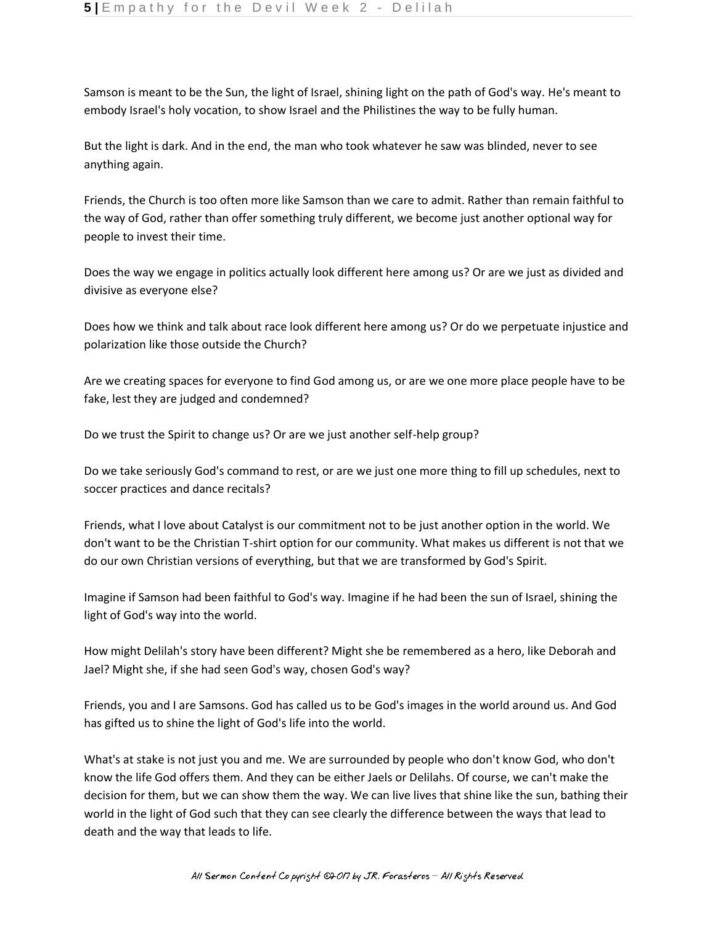Samson is meant to be the Sun, the light of Israel, shining light on the path of God's way. He's meant to embody Israel's holy vocation, to show Israel and the Philistines the way to be fully human.

But the light is dark. And in the end, the man who took whatever he saw was blinded, never to see anything again.

Friends, the Church is too often more like Samson than we care to admit. Rather than remain faithful to the way of God, rather than offer something truly different, we become just another optional way for people to invest their time.

Does the way we engage in politics actually look different here among us? Or are we just as divided and divisive as everyone else?

Does how we think and talk about race look different here among us? Or do we perpetuate injustice and polarization like those outside the Church?

Are we creating spaces for everyone to find God among us, or are we one more place people have to be fake, lest they are judged and condemned?

Do we trust the Spirit to change us? Or are we just another self-help group?

Do we take seriously God's command to rest, or are we just one more thing to fill up schedules, next to soccer practices and dance recitals?

Friends, what I love about Catalyst is our commitment not to be just another option in the world. We don't want to be the Christian T-shirt option for our community. What makes us different is not that we do our own Christian versions of everything, but that we are transformed by God's Spirit.

Imagine if Samson had been faithful to God's way. Imagine if he had been the sun of Israel, shining the light of God's way into the world.

How might Delilah's story have been different? Might she be remembered as a hero, like Deborah and Jael? Might she, if she had seen God's way, chosen God's way?

Friends, you and I are Samsons. God has called us to be God's images in the world around us. And God has gifted us to shine the light of God's life into the world.

What's at stake is not just you and me. We are surrounded by people who don't know God, who don't know the life God offers them. And they can be either Jaels or Delilahs. Of course, we can't make the decision for them, but we can show them the way. We can live lives that shine like the sun, bathing their world in the light of God such that they can see clearly the difference between the ways that lead to death and the way that leads to life.